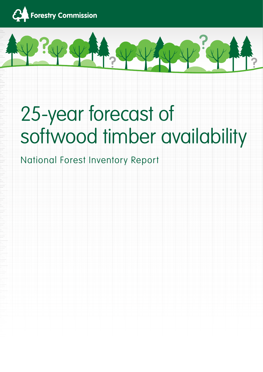



# 25-year forecast of softwood timber availability

# National Forest Inventory Report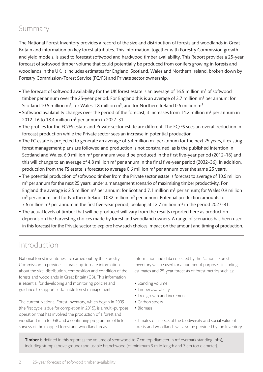# Summary

The National Forest Inventory provides a record of the size and distribution of forests and woodlands in Great Britain and information on key forest attributes. This information, together with Forestry Commission growth and yield models, is used to forecast softwood and hardwood timber availability. This Report provides a 25-year forecast of softwood timber volume that could potentially be produced from conifers growing in forests and woodlands in the UK. It includes estimates for England, Scotland, Wales and Northern Ireland, broken down by Forestry Commission/Forest Service (FC/FS) and Private sector ownership.

- $\bullet$  The forecast of softwood availability for the UK forest estate is an average of 16.5 million m<sup>3</sup> of softwood timber per annum over the 25-year period. For England this is an average of 3.7 million  $m^3$  per annum; for Scotland 10.5 million  $m^3$ ; for Wales 1.8 million  $m^3$ ; and for Northern Ireland 0.6 million  $m^3$ .
- $\bullet$  Softwood availability changes over the period of the forecast; it increases from 14.2 million m<sup>3</sup> per annum in 2012-16 to 18.4 million  $m^3$  per annum in 2027-31.
- The profiles for the FC/FS estate and Private sector estate are different. The FC/FS sees an overall reduction in forecast production while the Private sector sees an increase in potential production.
- $\bullet$  The FC estate is projected to generate an average of 5.4 million m<sup>3</sup> per annum for the next 25 years, if existing forest management plans are followed and production is not constrained, as is the published intention in Scotland and Wales. 6.0 million m<sup>3</sup> per annum would be produced in the first five-year period (2012-16) and this will change to an average of 4.8 million m<sup>3</sup> per annum in the final five-year period (2032-36). In addition, production from the FS estate is forecast to average 0.6 million  $m<sup>3</sup>$  per annum over the same 25 years.
- The potential production of softwood timber from the Private sector estate is forecast to average of 10.6 million m<sup>3</sup> per annum for the next 25 years, under a management scenario of maximising timber productivity. For England the average is 2.5 million  $m^3$  per annum; for Scotland 7.1 million  $m^3$  per annum; for Wales 0.9 million  $\text{m}^3$  per annum; and for Northern Ireland 0.032 million  $\text{m}^3$  per annum. Potential production amounts to 7.6 million m $^3$  per annum in the first five-year period, peaking at 12.7 million m $^3$  in the period 2027-31.
- The actual levels of timber that will be produced will vary from the results reported here as production depends on the harvesting choices made by forest and woodland owners. A range of scenarios has been used in this forecast for the Private sector to explore how such choices impact on the amount and timing of production.

# Introduction

National forest inventories are carried out by the Forestry Commission to provide accurate, up-to-date information about the size, distribution, composition and condition of the forests and woodlands in Great Britain (GB). This information is essential for developing and monitoring policies and guidance to support sustainable forest management.

The current National Forest Inventory, which began in 2009 (the first cycle is due for completion in 2015), is a multi-purpose operation that has involved the production of a forest and woodland map for GB and a continuing programme of field surveys of the mapped forest and woodland areas.

Information and data collected by the National Forest Inventory will be used for a number of purposes, including estimates and 25-year forecasts of forest metrics such as:

- Standing volume
- Timber availability
- Tree growth and increment
- Carbon stocks
- • Biomass

Estimates of aspects of the biodiversity and social value of forests and woodlands will also be provided by the Inventory.

**Timber** is defined in this report as the volume of stemwood to 7 cm top diameter in  $m^3$  overbark standing (obs), including stump (above ground) and usable branchwood (of minimum 3 m in length and 7 cm top diameter).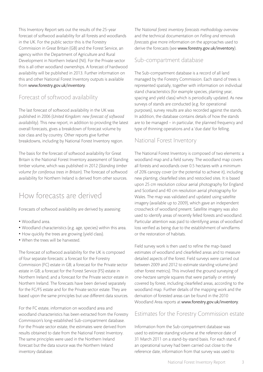This Inventory Report sets out the results of the 25-year forecast of softwood availability for all forests and woodlands in the UK. For the public sector this is the Forestry Commission in Great Britain (GB) and the Forest Service, an agency within the Department of Agriculture and Rural Development in Northern Ireland (NI). For the Private sector this is all other woodland ownerships. A forecast of hardwood availability will be published in 2013. Further information on this and other National Forest Inventory outputs is available from www.forestry.gov.uk/inventory.

# Forecast of softwood availability

The last forecast of softwood availability in the UK was published in 2006 (*United Kingdom: new forecast of softwood availability*). This new report, in addition to providing the latest overall forecasts, gives a breakdown of forecast volume by size class and by country. Other reports give further breakdowns, including by National Forest Inventory region.

The basis for the forecast of softwood availability for Great Britain is the National Forest Inventory assessment of Standing timber volume, which was published in 2012 (*Standing timber volume for coniferous trees in Britain*). The forecast of softwood availability for Northern Ireland is derived from other sources.

# How forecasts are derived

Forecasts of softwood availability are derived by assessing:

- • Woodland area.
- Woodland characteristics (e.g. age, species) within this area.
- How quickly the trees are growing (yield class).
- When the trees will be harvested.

The forecast of softwood availability for the UK is composed of four separate forecasts: a forecast for the Forestry Commission (FC) estate in GB; a forecast for the Private sector estate in GB; a forecast for the Forest Service (FS) estate in Northern Ireland; and a forecast for the Private sector estate in Northern Ireland. The forecasts have been derived separately for the FC/FS estate and for the Private sector estate. They are based upon the same principles but use different data sources.

For the FC estate, information on woodland area and woodland characteristics has been extracted from the Forestry Commission's long-established Sub-compartment database. For the Private sector estate, the estimates were derived from results obtained to date from the National Forest Inventory. The same principles were used in the Northern Ireland forecast but the data source was the Northern Ireland inventory database.

*The National forest inventory forecasts methodology overview*  and the technical documentation on *Felling and removals forecasts* give more information on the approaches used to derive the forecasts (see www.forestry.gov.uk/inventory).

# Sub-compartment database

The Sub-compartment database is a record of all land managed by the Forestry Commission. Each stand of trees is represented spatially, together with information on individual stand characteristics (for example species, planting year, spacing and yield class) which is periodically updated. As new surveys of stands are conducted (e.g. for operational purposes), survey results are also recorded against the stands. In addition, the database contains details of how the stands are to be managed – in particular, the planned frequency and type of thinning operations and a 'due date' for felling.

## National Forest Inventory

The National Forest Inventory is composed of two elements: a woodland map and a field survey. The woodland map covers all forests and woodlands over 0.5 hectares with a minimum of 20% canopy cover (or the potential to achieve it), including new planting, clearfelled sites and restocked sites. It is based upon 25 cm resolution colour aerial photography for England and Scotland and 40 cm resolution aerial photography for Wales. The map was validated and updated using satellite imagery (available up to 2009), which gave an independent crosscheck of woodland present. Satellite imagery was also used to identify areas of recently felled forests and woodland. Particular attention was paid to identifying areas of woodland loss verified as being due to the establishment of windfarms or the restoration of habitats.

Field survey work is then used to refine the map-based estimates of woodland and clearfelled areas and to measure detailed aspects of the forest. Field surveys were carried out between 2009 and 2012 to estimate standing volume (and other forest metrics). This involved the ground surveying of one-hectare sample squares that were partially or entirely covered by forest, including clearfelled areas, according to the woodland map. Further details of the mapping work and the derivation of forested areas can be found in the 2010 Woodland Area reports at www.forestry.gov.uk/inventory.

# Estimates for the Forestry Commission estate

Information from the Sub-compartment database was used to estimate standing volume at the reference date of 31 March 2011 on a stand-by-stand basis. For each stand, if an operational survey had been carried out close to the reference date, information from that survey was used to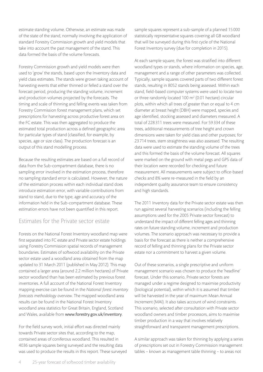estimate standing volume. Otherwise, an estimate was made of the state of the stand, normally involving the application of standard Forestry Commission growth and yield models that take into account the past management of the stand. This data formed the basis of the volume forecasts.

Forestry Commission growth and yield models were then used to 'grow' the stands, based upon the Inventory data and yield class estimates. The stands were grown taking account of harvesting events that either thinned or felled a stand over the forecast period, producing the standing volume, increment and production volumes projected by the forecasts. The timing and scale of thinning and felling events was taken from Forestry Commission forest management plans, which set prescriptions for harvesting across productive forest area on the FC estate. This was then aggregated to produce the estimated total production across a defined geographic area for particular types of stand (classified, for example, by species, age or size class). The production forecast is an output of this stand modelling process.

Because the resulting estimates are based on a full record of data from the Sub-compartment database, there is no sampling error involved in the estimation process, therefore no sampling standard error is calculated. However, the nature of the estimation process within each individual stand does introduce estimation error, with variable contributions from stand to stand, due to the type, age and accuracy of the information held in the Sub-compartment database. These estimation errors have not been quantified in this report.

#### Estimates for the Private sector estate

Forests on the National Forest Inventory woodland map were first separated into FC estate and Private sector estate holdings using Forestry Commission spatial records of management boundaries. Estimates of softwood availability on the Private sector estate used a woodland area obtained from the map updated to 31 March 2011 (published in May 2012). This map contained a larger area (around 2.2 million hectares) of Private sector woodland than has been estimated by previous forest inventories. A full account of the National Forest Inventory mapping exercise can be found in the *National forest inventory forecasts methodology overview*. The mapped woodland area results can be found in the National Forest Inventory woodland area statistics for Great Britain, England, Scotland and Wales, available from www.forestry.gov.uk/inventory.

For the field survey work, initial effort was directed mainly towards Private sector sites that, according to the map, contained areas of coniferous woodland. This resulted in 4036 sample squares being surveyed and the resulting data was used to produce the results in this report. These surveyed sample squares represent a sub-sample of a planned 15000 statistically representative squares covering all GB woodland that will be surveyed during this first cycle of the National Forest Inventory survey (due for completion in 2015).

At each sample square, the forest was stratified into different woodland types or stands, where information on species, age, management and a range of other parameters was collected. Typically, sample squares covered parts of two different forest stands, resulting in 8052 stands being assessed. Within each stand, field-based computer systems were used to locate two or three randomly located 100 m2 (0.01 hectare) circular plots, within which all trees of greater than or equal to 4 cm diameter at breast height (DBH) were mapped, species and age identified, stocking assessed and diameters measured. A total of 228311 trees were measured. For 59334 of these trees, additional measurements of tree height and crown dimensions were taken for yield class and other purposes; for 23714 trees, stem straightness was also assessed. The resulting data were used to estimate the standing volume of the trees and this formed the basis of the volume forecast. All squares were marked on the ground with metal pegs and GPS data of their location were recorded for checking and future measurement. All measurements were subject to office-based checks and 8% were re-measured in the field by an independent quality assurance team to ensure consistency and high standards.

The 2011 Inventory data for the Private sector estate was then run against several harvesting scenarios (including the felling assumptions used for the 2005 Private sector forecast) to understand the impact of different felling ages and thinning rates on future standing volume, increment and production volumes. The scenario approach was necessary to provide a basis for the forecast as there is neither a comprehensive record of felling and thinning plans for the Private sector estate nor a commitment to harvest a given volume.

Out of these scenarios, a single prescriptive and uniform management scenario was chosen to produce the 'headline' forecast. Under this scenario, Private sector forests are managed under a regime designed to maximise productivity (biological potential), within which it is assumed that timber will be harvested in the year of maximum Mean Annual Increment (MAI). It also takes account of wind constraints. This scenario, selected after consultation with Private sector woodland owners and timber processors, aims to maximise timber production in a way that involves relatively straightforward and transparent management prescriptions.

A similar approach was taken for thinning by applying a series of prescriptions set out in Forestry Commission management tables – known as management table thinning – to areas not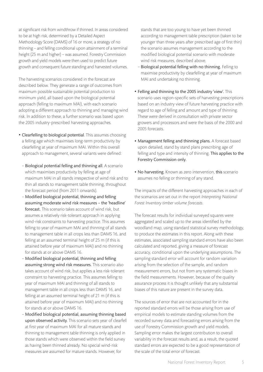at significant risk from windthrow if thinned. In areas considered to be at high risk, determined by a Detailed Aspect Methodology Score (DAMS) of 16 or more, a strategy of no thinning – and felling conditional upon attainment of a terminal height (25 m and higher) – was assumed. Forestry Commission growth and yield models were then used to predict future growth and consequent future standing and harvested volumes.

The harvesting scenarios considered in the forecast are described below. They generate a range of outcomes from maximum possible sustainable potential production to minimum yield, all based upon the biological potential approach (felling to maximum MAI), with each scenario adopting a different approach to thinning and managing wind risk. In addition to these, a further scenario was based upon the 2005 industry-prescribed harvesting approaches.

- Clearfelling to biological potential. This assumes choosing a felling age which maximises long-term productivity by clearfelling at year of maximum MAI. Within this overall approach to management, several variants were defined:
	- − Biological potential felling and thinning all. A scenario which maximises productivity by felling at age of maximum MAI in all stands irrespective of wind risk and to thin all stands to management table thinning, throughout the forecast period (from 2011 onwards).
	- − Modified biological potential, thinning and felling assuming moderate wind risk measures – the 'headline' forecast. This scenario takes account of wind risk, but assumes a relatively risk-tolerant approach in applying wind-risk constraints to harvesting practice. This assumes felling to year of maximum MAI and thinning of all stands to management table in all crops less than DAMS 16, and felling at an assumed terminal height of 25 m (if this is attained before year of maximum MAI) and no thinning for stands at or above DAMS 16.
	- − Modified biological potential, thinning and felling assuming strong wind risk measures. This scenario also takes account of wind risk, but applies a less risk-tolerant constraint to harvesting practice. This assumes felling to year of maximum MAI and thinning of all stands to management table in all crops less than DAMS 16, and felling at an assumed terminal height of 21 m (if this is attained before year of maximum MAI) and no thinning for stands at or above DAMS 16.
	- − Modified biological potential, assuming thinning based upon observed activity. This scenario sets year of clearfell at first year of maximum MAI for all mature stands and thinning to management table thinning is only applied in those stands which were observed within the field survey as having been thinned already. No special wind-risk measures are assumed for mature stands. However, for

stands that are too young to have yet been thinned according to management table prescription (taken to be younger than three years after prescribed age of first thin) the scenario assumes management according to the modified biological potential scenario with moderate wind risk measures, described above.

- − Biological potential felling with no thinning. Felling to maximise productivity by clearfelling at year of maximum MAI and undertaking no thinning.
- Felling and thinning to the 2005 industry 'view'. This scenario uses region-specific sets of harvesting prescriptions based on an industry view of future harvesting practice with regard to age of felling and amount and type of thinning. These were derived in consultation with private sector growers and processors and were the basis of the 2000 and 2005 forecasts.
- Management felling and thinning plans. A forecast based upon detailed, stand by stand plans prescribing age of felling and type and intensity of thinning. This applies to the Forestry Commission only.
- No harvesting. Known as zero intervention, this scenario assumes no felling or thinning of any stand.

The impacts of the different harvesting approaches in each of the scenarios are set out in the report *Interpreting National Forest Inventory timber volume forecasts*.

The forecast results for individual surveyed squares were aggregated and scaled up to the areas identified by the woodland map, using standard statistical survey methodology, to produce the estimates in this report. Along with these estimates, associated sampling standard errors have also been calculated and reported, giving a measure of forecast accuracy, conditional upon the underlying assumptions. The sampling standard error will account for random variation arising from the selection of the sample, and random measurement errors, but not from any systematic biases in the field measurements. However, because of the quality assurance process it is thought unlikely that any substantial biases of this nature are present in the survey data.

The sources of error that are not accounted for in the reported standard errors will be those arising from use of empirical models to estimate standing volumes from the recorded survey data and forecasting errors arising from the use of Forestry Commission growth and yield models. Sampling error makes the largest contribution to overall variability in the forecast results and, as a result, the quoted standard errors are expected to be a good representation of the scale of the total error of forecast.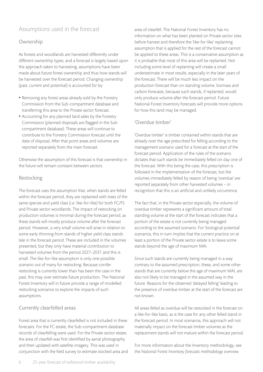## Assumptions used in the forecast

#### Ownership

As forests and woodlands are harvested differently under different ownership types, and a forecast is largely based upon the approach taken to harvesting, assumptions have been made about future forest ownership and thus how stands will be harvested over the forecast period. Changing ownership (past, current and potential) is accounted for by:

- Removing any forest areas already sold by the Forestry Commission from the Sub-compartment database and transferring this area to the Private sector forecast.
- Accounting for any planned land sales by the Forestry Commission (planned disposals are flagged in the Subcompartment database). These areas will continue to contribute to the Forestry Commission forecast until the date of disposal. After that point areas and volumes are reported separately from the main forecast.

Otherwise the assumption of this forecast is that ownership in the future will remain constant between sectors.

#### Restocking

The forecast uses the assumption that, when stands are felled within the forecast period, they are replanted with trees of the same species and yield class (i.e. like-for-like) for both FC/FS and Private sector woodlands. The impact of restocking on production volumes is minimal during the forecast period, as these stands will mostly produce volume after the forecast period. However, a very small volume will arise in relation to some early thinning from stands of higher yield class stands late in the forecast period. These are included in the volumes presented, but they only have material contribution to harvested volumes from the period 2027–2031 and this is small. The like-for-like assumption is only one possible scenario out of many for restocking. Because conifer restocking is currently lower than has been the case in the past, this may over estimate future production. The National Forest Inventory will in future provide a range of modelled restocking scenarios to explore the impacts of such assumptions.

#### Currently clearfelled areas

Forest area that is currently clearfelled is not included in these forecasts. For the FC estate, the Sub-compartment database records of clearfelling were used. For the Private sector estate, the area of clearfell was first identified by aerial photography and then updated with satellite imagery. This was used in conjunction with the field survey to estimate stocked area and area of clearfell. The National Forest Inventory has no information on what has been planted on Private sector sites before harvest and therefore the 'like-for-like' replanting assumption that is applied for the rest of the forecast cannot be applied to these areas. This is a conservative assumption as it is probable that most of this area will be replanted. Not including some level of replanting will create a small underestimate in most results, especially in the later years of the forecast. There will be much less impact on the production forecast than on standing volume, biomass and carbon forecasts, because such stands, if replanted, would only produce volume after the forecast period. Future National Forest Inventory forecasts will provide more options for how this land may be managed.

#### 'Overdue timber'

'Overdue timber' is timber contained within stands that are already over the age prescribed for felling according to the management scenario used for a forecast at the start of the forecast period. Application of the rules of the scenario dictates that such stands be immediately felled on day one of the forecast. With this being the case, this prescription is followed in the implementation of the forecast, but the volumes immediately felled by reason of being 'overdue' are reported separately from other harvested volumes – in recognition that this is an artificial and unlikely occurrence.

The fact that, in the Private sector especially, the volume of overdue timber represents a significant amount of total standing volume at the start of the forecast indicates that a portion of the estate is not currently being managed according to the assumed scenario. For 'biological potential' scenarios, this in turn implies that the current practice on at least a portion of the Private sector estate is to leave some stands beyond the age of maximum MAI.

Since such stands are currently being managed in a way contrary to the assumed prescription, these, and some other stands that are currently below the age of maximum MAI, are also not likely to be managed in the assumed way in the future. Reasons for the observed 'delayed felling' leading to the presence of overdue timber at the start of the forecast are not known.

All areas felled as overdue will be restocked in the forecast on a like-for-like basis, as is the case for any other felled stand in the forecast period. In most scenarios, this approach will not materially impact on the forecast timber volumes as the replacement stands will not mature within the forecast period.

For more information about the Inventory methodology, see the *National Forest Inventory forecasts methodology overview*.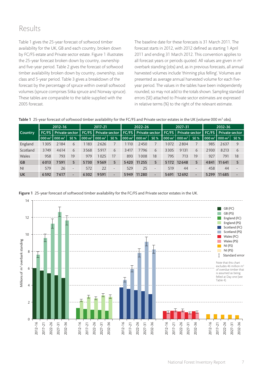# Results

Table 1 gives the 25-year forecast of softwood timber availability for the UK, GB and each country, broken down by FC/FS estate and Private sector estate. Figure 1 illustrates the 25-year forecast broken down by country, ownership and five-year period. Table 2 gives the forecast of softwood timber availability broken down by country, ownership, size class and 5-year period. Table 3 gives a breakdown of the forecast by the percentage of spruce within overall softwood volumes (spruce comprises Sitka spruce and Norway spruce). These tables are comparable to the table supplied with the 2005 forecast.

The baseline date for these forecasts is 31 March 2011. The forecast starts in 2012, with 2012 defined as starting 1 April 2011 and ending 31 March 2012. This convention applies to all forecast years or periods quoted. All values are given in  $m<sup>3</sup>$ overbark standing (obs) and, as in previous forecasts, all annual harvested volumes include 'thinning plus felling'. Volumes are presented as average annual harvested volume for each fiveyear period. The values in the tables have been independently rounded, so may not add to the totals shown. Sampling standard errors (SE) attached to Private sector estimates are expressed in relative terms (%) to the right of the relevant estimate.

|                |      | 2012-16                                 |                          |                    | 2017-21             |                          |         | 2022-26                                                                                           |                          |                                                               | $2027 - 31$ |            |          | 2032-36           |                          |
|----------------|------|-----------------------------------------|--------------------------|--------------------|---------------------|--------------------------|---------|---------------------------------------------------------------------------------------------------|--------------------------|---------------------------------------------------------------|-------------|------------|----------|-------------------|--------------------------|
| <b>Country</b> |      | <b>FC/FS</b> Private sector             |                          |                    |                     |                          |         | FC/FS   Private sector   FC/FS   Private sector   FC/FS   Private sector   FC/FS   Private sector |                          |                                                               |             |            |          |                   |                          |
|                |      | 000 m <sup>3</sup>   000 m <sup>3</sup> | <b>SE%</b>               | $1000 \text{ m}^3$ | $\sim$ 000 m $^3$ . | <b>SE%</b>               |         | 000 m <sup>3</sup>   000 m <sup>3</sup>                                                           | <b>SE%</b>               | $\vert$ 000 m <sup>3</sup> $\vert$ 000 m <sup>3</sup> $\vert$ |             | <b>SE%</b> | 000 $m3$ | $000 \text{ m}^3$ | <b>SE%</b>               |
| England        | 1305 | 2184                                    | 6                        | 1 1 8 3            | 2626                |                          | 1 1 1 0 | 2450                                                                                              |                          | 1072                                                          | 2804        |            | 985      | 2637              | 9                        |
| Scotland       | 3749 | 4614                                    | 6                        | 3568               | 5917                | 6                        | 3417    | 7796                                                                                              | 6                        | 3305                                                          | 9131        | 6          | 2930     | 8213              | 6                        |
| Wales          | 958  | 793                                     | 19                       | 979                | 1025                | 17                       | 893     | 1008                                                                                              | 18                       | 795                                                           | 713         | 19         | 927      | 791               | 18                       |
| <b>GB</b>      | 6013 | 7591                                    | 5                        | 5730               | 9569                | 5                        | 5420    | 11 255                                                                                            | 5                        | 5 1 7 2                                                       | 12648       | 5          | 4841     | 11 641            | 5                        |
| N <sub>l</sub> | 579  | 26                                      | $\overline{\phantom{0}}$ | 572                | 22                  | $\overline{\phantom{a}}$ | 529     | 25                                                                                                | $\overline{\phantom{0}}$ | 519                                                           | 44          |            | 458      | 44                | $\overline{\phantom{0}}$ |
| <b>UK</b>      | 6592 | 617                                     | -                        | 6302               | 9591                | -                        | 5949    | 11 2 8 0                                                                                          | $\overline{\phantom{0}}$ | 5691                                                          | 12692       |            | 5299     | 11 685            |                          |

<code>Table 1</code> 25-year forecast of softwood timber availability for the FC/FS and Private sector estates in the UK (volume 000 m $^3$  obs).

Figure 1 25-year forecast of softwood timber availability for the FC/FS and Private sector estates in the UK.

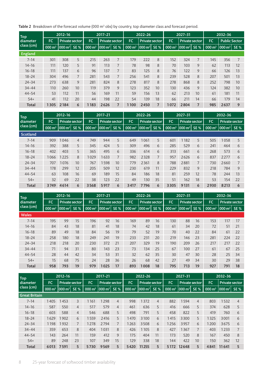**Table 2** Breakdown of the forecast volume (000 m $^3$  obs) by country, top diameter class and forecast period.

| <b>Top</b>     |                      | 2012-16               |             |                   | 2017-21               |             |                    | 2022-26                |             |                    | 2027-31               |            |          | 2032-36                         |             |
|----------------|----------------------|-----------------------|-------------|-------------------|-----------------------|-------------|--------------------|------------------------|-------------|--------------------|-----------------------|------------|----------|---------------------------------|-------------|
| diameter       | <b>FC</b>            | Private sector        |             | <b>FC</b>         | <b>Private sector</b> |             | <b>FC</b>          | Private sector         |             | <b>FC</b>          | Private sector        |            | FC.      | <b>Public Sector</b>            |             |
| class (cm)     | $000 \,\mathrm{m}^3$ | $1000 \,\mathrm{m}^3$ | <b>SE %</b> | $000 \text{ m}^3$ | $ 000 \text{ m}^3 $   | <b>SE %</b> | $1000 \text{ m}^3$ | $\mathsf{1000 \, m^3}$ | <b>SE %</b> | $1000 \text{ m}^3$ | $ 000 \, \text{m}^3 $ | <b>SE%</b> | 000 $m3$ | $\overline{000}$ m <sup>3</sup> | <b>SE %</b> |
| <b>England</b> |                      |                       |             |                   |                       |             |                    |                        |             |                    |                       |            |          |                                 |             |
| $7 - 14$       | 301                  | 308                   | 5           | 215               | 263                   |             | 179                | 222                    | 8           | 152                | 324                   | 7          | 145      | 356                             |             |
| $14 - 16$      | 111                  | 120                   | 5           | 91                | 113                   | 7           | 78                 | 98                     | 8           | 70                 | 103                   | 9          | 62       | 113                             | 12          |
| $16 - 18$      | 111                  | 137                   | 6           | 96                | 137                   |             | 83                 | 125                    | 8           | 76                 | 122                   | 9          | 66       | 126                             | 13          |
| $18 - 24$      | 304                  | 496                   | 7           | 281               | 543                   |             | 256                | 541                    | 8           | 239                | 528                   | 8          | 207      | 501                             | 13          |
| $24 - 34$      | 273                  | 638                   | 9           | 281               | 824                   | 8           | 278                | 817                    | 8           | 278                | 868                   | 8          | 252      | 798                             | 10          |
| $34 - 44$      | 110                  | 260                   | 10          | 119               | 379                   | 9           | 123                | 352                    | 10          | 130                | 436                   | 9          | 124      | 382                             | 10          |
| $44 - 54$      | 53                   | 112                   | 11          | 56                | 169                   | 11          | 59                 | 156                    | 13          | 62                 | 213                   | 10         | 61       | 181                             | 11          |
| $54+$          | 41                   | 112                   | 20          | 44                | 198                   | 22          | 54                 | 139                    | 18          | 66                 | 211                   | 14         | 66       | 179                             | 14          |
| Total          | 1305                 | 2184                  | 6           | 1183              | 2626                  |             | 1100               | 2450                   | 7           | 1072               | 2804                  | 7          | 985      | 2637                            | 9           |

| <b>Top</b>   |                    | 2012-16   |                |                   | 2017-21                |            |                   | 2022-26               |             |                    | 2027-31              |            |                   | 2032-36               |            |
|--------------|--------------------|-----------|----------------|-------------------|------------------------|------------|-------------------|-----------------------|-------------|--------------------|----------------------|------------|-------------------|-----------------------|------------|
| diameter     | <b>FC</b>          |           | Private sector | <b>FC</b>         | Private sector         |            | <b>FC</b>         | <b>Private sector</b> |             | <b>FC</b>          | Private sector       |            | <b>FC</b>         | <b>Private sector</b> |            |
| class (cm)   | $1000 \text{ m}^3$ | 000 $m^3$ | <b>SE%</b>     | $000 \text{ m}^3$ | $\mathsf{1000 \, m^3}$ | <b>SE%</b> | $000 \text{ m}^3$ | $ 000 \text{ m}^3 $   | <b>SE %</b> | $1000 \text{ m}^3$ | $000 \,\mathrm{m}^3$ | <b>SE%</b> | $000 \text{ m}^3$ | $000 \, \text{m}^3$   | <b>SE%</b> |
| Scotland     |                    |           |                |                   |                        |            |                   |                       |             |                    |                      |            |                   |                       |            |
| $7 - 14$     | 909                | 1046      | $\overline{4}$ | 749               | 944                    | 5          | 649               | 1061                  | 5           | 601                | 1182                 | 5          | 505               | 1058                  | 5          |
| $14 - 16$    | 392                | 388       | 5              | 345               | 424                    | 5          | 309               | 496                   | 6           | 285                | 529                  | 6          | 241               | 464                   | 6          |
| $16 - 18$    | 402                | 403       | 5              | 365               | 495                    | 6          | 336               | 614                   | 6           | 313                | 661                  | 6          | 268               | 573                   | 6          |
| $18 - 24$    | 1066               | 1225      | 8              | 1029              | 1633                   |            | 982               | 2328                  | 7           | 957                | 2626                 | 6          | 837               | 2277                  | 6          |
| $24 - 34$    | 707                | 1076      | 10             | 767               | 1598                   | 10         | 779               | 2361                  | 8           | 788                | 2881                 | 7          | 730               | 2660                  |            |
| $34 - 44$    | 178                | 299       | 12             | 205               | 509                    | 12         | 230               | 619                   | 11          | 229                | 832                  | 9          | 218               | 784                   | 9          |
| $44 - 54$    | 63                 | 108       | 16             | 69                | 189                    | 15         | 84                | 186                   | 18          | 81                 | 259                  | 12         | 78                | 244                   | 13         |
| $54+$        | 32                 | 69        | 22             | 38                | 123                    | 22         | 49                | 130                   | 35          | 51                 | 162                  | 18         | 53                | 154                   | 22         |
| <b>Total</b> | 3749               | 4614      | 6              | 3568              | 5917                   | 6          | 3417              | 7796                  | 6           | 3305               | 9131                 | 6          | 2930              | 8213                  | 6          |

| <b>Top</b>   |                   | 2012-16                |             |                   | 2017-21                |             |                   | 2022-26               |             |                   | 2027-31               |             |                   | 2032-36               |             |
|--------------|-------------------|------------------------|-------------|-------------------|------------------------|-------------|-------------------|-----------------------|-------------|-------------------|-----------------------|-------------|-------------------|-----------------------|-------------|
| diameter.    | <b>FC</b>         | Private sector         |             | <b>FC</b>         | Private sector         |             | <b>FC</b>         | <b>Private sector</b> |             | <b>FC</b>         | <b>Private sector</b> |             | <b>FC</b>         | <b>Private sector</b> |             |
| class (cm)   | $000 \text{ m}^3$ | $ 000 \,\mathrm{m}^3 $ | <b>SE %</b> | $000 \text{ m}^3$ | $\mathsf{1000 \, m^3}$ | <b>SE %</b> | $000 \text{ m}^3$ | $ 000 \text{ m}^3 $   | <b>SE %</b> | $000 \text{ m}^3$ | $000 \,\mathrm{m}^3$  | <b>SE %</b> | $000 \text{ m}^3$ | 000 $m^3$             | <b>SE %</b> |
| <b>Wales</b> |                   |                        |             |                   |                        |             |                   |                       |             |                   |                       |             |                   |                       |             |
| $7 - 14$     | 195               | 99                     | 15          | 196               | 92                     | 16          | 169               | 89                    | 16          | 130               | 88                    | 16          | 153               | 117                   | 17          |
| $14 - 16$    | 84                | 43                     | 18          | 81                | 41                     | 18          | 74                | 42                    | 18          | 61                | 34                    | 20          | 72                | 51                    | 21          |
| $16 - 18$    | 89                | 49                     | 18          | 84                | 56                     | 19          | 79                | 52                    | 19          | 70                | 40                    | 22          | 84                | 61                    | 22          |
| $18 - 24$    | 258               | 180                    | 18          | 249               | 241                    | 19          | 233               | 231                   | 20          | 219               | 146                   | 23          | 281               | 224                   | 22          |
| $24 - 34$    | 218               | 218                    | 20          | 230               | 372                    | 21          | 207               | 329                   | 19          | 190               | 209                   | 26          | 217               | 217                   | 22          |
| $34 - 44$    | 71                | 94                     | 31          | 80                | 143                    | 23          | 73                | 134                   | 25          | 67                | 100                   | 27          | 61                | 67                    | 25          |
| $44 - 54$    | 28                | 44                     | 42          | 34                | 53                     | 31          | 32                | 62                    | 35          | 30                | 47                    | 30          | 28                | 25                    | 34          |
| $54+$        | 15                | 68                     | 75          | 24                | 28                     | 36          | 26                | 68                    | 42          | 27                | 49                    | 34          | 30                | 29                    | 38          |
| <b>Total</b> | 958               | 793                    | 19          | 979               | 1025                   | 17          | 893               | 1008                  | 18          | 795               | 713                   | 19          | 927               | 791                   | 18          |

| <b>Top</b>           |                      | 2012-16               |                |                    | 2017-21                            |                |                      | 2022-26             |                |                   | 2027-31               |            |                   | 2032-36        |            |
|----------------------|----------------------|-----------------------|----------------|--------------------|------------------------------------|----------------|----------------------|---------------------|----------------|-------------------|-----------------------|------------|-------------------|----------------|------------|
| diameter             | <b>FC</b>            | <b>Private sector</b> |                | FC                 | Private sector                     |                | <b>FC</b>            | Private sector      |                | <b>FC</b>         | <b>Private sector</b> |            | <b>FC</b>         | Private sector |            |
| class (cm)           | $000 \,\mathrm{m}^3$ | 000 $m3$              | <b>SE%</b>     | $1000 \text{ m}^3$ | $\vert$ 000 m <sup>3</sup> $\vert$ | <b>SE%</b>     | $000 \,\mathrm{m}^3$ | $ 000 \text{ m}^3 $ | <b>SE%</b>     | $000 \text{ m}^3$ | $000 \,\mathrm{m}^3$  | <b>SE%</b> | $000 \text{ m}^3$ | 000 $m^3$      | <b>SE%</b> |
| <b>Great Britain</b> |                      |                       |                |                    |                                    |                |                      |                     |                |                   |                       |            |                   |                |            |
| $7 - 14$             | 1405                 | 1453                  | 3              | 1161               | 1298                               | 4              | 998                  | 1372                | $\overline{4}$ | 882               | 1594                  | 4          | 803               | 1532           | 4          |
| $14 - 16$            | 587                  | 550                   | $\overline{4}$ | 517                | 579                                | $\overline{4}$ | 461                  | 636                 | 5              | 416               | 666                   | 5          | 374               | 628            | 5          |
| $16 - 18$            | 603                  | 588                   | $\overline{4}$ | 546                | 688                                | 5              | 498                  | 791                 | 5              | 458               | 822                   | 5          | 419               | 760            | 6          |
| $18 - 24$            | 1629                 | 1902                  | 6              | 1559               | 2416                               | 5              | 1470                 | 3100                | 6              | 1415              | 3300                  | 5          | 1325              | 3001           | 6          |
| $24 - 34$            | 1198                 | 1932                  | 7              | 1278               | 2794                               |                | 1263                 | 3508                | 6              | 1256              | 3957                  | 6          | 1200              | 3675           | 6          |
| $34 - 44$            | 359                  | 653                   | 8              | 404                | 1031                               | 8              | 426                  | 1105                | 8              | 427               | 1367                  | 7          | 403               | 1233           |            |
| $44 - 54$            | 143                  | 264                   | 11             | 159                | 412                                | 9              | 175                  | 404                 | 11             | 173               | 520                   | 8          | 167               | 450            | 8          |
| $54+$                | 89                   | 248                   | 23             | 107                | 349                                | 15             | 129                  | 338                 | 18             | 144               | 422                   | 10         | 150               | 362            | 12         |
| <b>Total</b>         | 6013                 | 7591                  | 5              | 5730               | 9569                               | 5              | 5420                 | 11255               | 5              | 5 1 7 2           | 12648                 | 5          | 4841              | 11641          | 5          |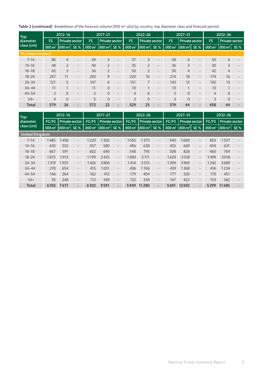${\sf Table~2}$  (continued)  $\,$  Breakdown of the forecast volume (000 m $^3$  obs) by country, top diameter class and forecast period.

| <b>Top</b>              |                   | 2012-16                 |                          |                                 | 2017-21                 |                | $2022 - 26$                     |                          |                   | $2027 - 31$           |                          |                   | 2032-36                 |            |
|-------------------------|-------------------|-------------------------|--------------------------|---------------------------------|-------------------------|----------------|---------------------------------|--------------------------|-------------------|-----------------------|--------------------------|-------------------|-------------------------|------------|
| diameter                | <b>FS</b>         | <b>Private sector</b>   |                          | <b>FS</b>                       | Private sector          | <b>FS</b>      | <b>Private sector</b>           |                          | <b>FS</b>         | <b>Private sector</b> |                          | <b>FS</b>         | <b>Private sector</b>   |            |
| class (cm)              | $000 \text{ m}^3$ | $\vert$ 000 m $^3\vert$ | <b>SE %</b>              | $\overline{000}$ m <sup>3</sup> | 000 m <sup>3</sup> SE % | 000 $m3$       | $\overline{000}$ m <sup>3</sup> | <b>SE%</b>               | $000 \text{ m}^3$ | $ 000 \text{ m}^3 $   | <b>SE %</b>              | $000 \text{ m}^3$ | $\vert$ 000 m $^3\vert$ | <b>SE%</b> |
| <b>Northern Ireland</b> |                   |                         |                          |                                 |                         |                |                                 |                          |                   |                       |                          |                   |                         |            |
| $7 - 14$                | 80                | $\overline{4}$          | $\overline{\phantom{0}}$ | 69                              | 3                       | 57             | $\overline{3}$                  | $\overline{\phantom{0}}$ | 58                | 6                     | $\overline{\phantom{a}}$ | 50                | 6                       |            |
| $14 - 16$               | 48                | $\overline{2}$          | $\overline{\phantom{a}}$ | 40                              | $\overline{2}$          | 35             | $\overline{2}$                  | $\overline{\phantom{a}}$ | 36                | $\overline{3}$        | $\overline{\phantom{a}}$ | 30                | 3                       |            |
| $16 - 18$               | 65                | $\overline{3}$          | $\overline{\phantom{0}}$ | 56                              | $\overline{2}$          | 50             | $\overline{2}$                  | $\qquad \qquad -$        | 50                | $\overline{4}$        | $\overline{\phantom{a}}$ | 42                | $\overline{4}$          |            |
| $18 - 24$               | 247               | 11                      | $\overline{\phantom{a}}$ | 240                             | 9                       | 220            | 10                              | $\overline{\phantom{a}}$ | 214               | 18                    | $\overline{\phantom{0}}$ | 174               | 16                      |            |
| $24 - 34$               | 121               | 5                       | $\overline{\phantom{a}}$ | 147                             | 6                       | 151            | 7 <sup>1</sup>                  | $\overline{\phantom{0}}$ | 143               | 12                    | $\overline{\phantom{a}}$ | 142               | 13                      |            |
| $34 - 44$               | 11                |                         | $\overline{\phantom{a}}$ | 11                              | $\Omega$                | 10             |                                 | $\overline{\phantom{a}}$ | 13                | $\mathbf{1}$          | $\overline{\phantom{a}}$ | 13                | 1                       |            |
| $44 - 54$               | 3                 | $\Omega$                | $\overline{\phantom{0}}$ | $\overline{3}$                  | $\Omega$                | $\overline{4}$ | $\Omega$                        | $\overline{\phantom{a}}$ | 3                 | $\Omega$              | $\overline{\phantom{a}}$ | $\overline{4}$    | $\overline{0}$          |            |
| $54+$                   | $\overline{4}$    | $\Omega$                | $\overline{\phantom{a}}$ | 5                               | $\Omega$                | 3              | $\Omega$                        | $\overline{\phantom{a}}$ | $\overline{3}$    | $\Omega$              | $\overline{\phantom{a}}$ | $\overline{3}$    | $\Omega$                |            |
| <b>Total</b>            | 579               | 26                      | $\overline{\phantom{0}}$ | 572                             | 22                      | 529            | 25                              | $\overline{\phantom{0}}$ | 519               | 44                    | $\overline{\phantom{0}}$ | 458               | 44                      |            |

| <b>Top</b>            |                     | 2012-16                 |                          |                   | 2017-21               |                          |                   | $2022 - 26$                         |                          |                   | 2027-31               |                          |                   | 2032-36                                    |             |
|-----------------------|---------------------|-------------------------|--------------------------|-------------------|-----------------------|--------------------------|-------------------|-------------------------------------|--------------------------|-------------------|-----------------------|--------------------------|-------------------|--------------------------------------------|-------------|
| diameter              | FC/FS               | Private sector          |                          | FC/FS             | <b>Private sector</b> |                          | FC/FS             | Private sector                      |                          | FC/FS             | <b>Private sector</b> |                          | FC/FS             | <b>Private sector</b>                      |             |
| class (cm)            | $000 \, \text{m}^3$ | $ 000 \text{ m}^3 $ SE% |                          | $000 \text{ m}^3$ | $1000 \text{ m}^3$    | <b>SE%</b>               | $000 \text{ m}^3$ | $\left  000 \right $ m <sup>3</sup> | <b>SE%</b>               | $000 \text{ m}^3$ | $ 000 \text{ m}^3 $   | <b>SE%</b>               | $000 \text{ m}^3$ | $\vert$ 000 $\vert$ m <sup>3</sup> $\vert$ | <b>SE %</b> |
| <b>United Kingdom</b> |                     |                         |                          |                   |                       |                          |                   |                                     |                          |                   |                       |                          |                   |                                            |             |
| $7 - 14$              | 1485                | 1458                    | $\overline{\phantom{a}}$ | 1229              | 302                   | $\overline{\phantom{0}}$ | 1055              | 1375                                |                          | 940               | 1600                  | $\overline{\phantom{a}}$ | 853               | 1537                                       |             |
| $14 - 16$             | 635                 | 553                     | $\overline{\phantom{a}}$ | 557               | 580                   | $\overline{\phantom{0}}$ | 496               | 638                                 | $\overline{\phantom{0}}$ | 452               | 669                   | $\overline{\phantom{0}}$ | 404               | 631                                        |             |
| $16 - 18$             | 667                 | 591                     | $\overline{\phantom{a}}$ | 602               | 690                   | $\overline{\phantom{0}}$ | 548               | 793                                 | $\qquad \qquad -$        | 508               | 826                   | $\overline{\phantom{0}}$ | 460               | 764                                        |             |
| $18 - 24$             | 1875                | 1913                    | $\overline{\phantom{a}}$ | 1799              | 2425                  | $\overline{\phantom{0}}$ | 1690              | 3 1 1 1                             | $\overline{\phantom{a}}$ | 1629              | 3318                  | $\overline{\phantom{a}}$ | 1499              | 3018                                       |             |
| $24 - 34$             | 1319                | 1937                    | $\overline{\phantom{a}}$ | 1426              | 2800                  | $\overline{\phantom{0}}$ | 1414              | 3515                                | $\overline{\phantom{a}}$ | 1399              | 3969                  | $\overline{\phantom{a}}$ | 1342              | 3689                                       |             |
| $34 - 44$             | 370                 | 654                     | $\overline{\phantom{a}}$ | 415               | 1031                  | $\overline{\phantom{0}}$ | 436               | 1106                                | $\overline{\phantom{a}}$ | 439               | 1368                  | $\overline{\phantom{0}}$ | 416               | 1234                                       |             |
| $44 - 54$             | 146                 | 264                     | $\overline{\phantom{0}}$ | 162               | 412                   | $\overline{\phantom{0}}$ | 179               | 404                                 | $\overline{\phantom{a}}$ | 177               | 520                   | $\overline{\phantom{0}}$ | 170               | 451                                        |             |
| $54+$                 | 93                  | 248                     | $\overline{\phantom{a}}$ | 112               | 349                   | $\qquad \qquad -$        | 132               | 338                                 | $\overline{\phantom{0}}$ | 147               | 422                   | $\overline{\phantom{0}}$ | 153               | 362                                        |             |
| <b>Total</b>          | 6592                | 7617                    | $\overline{\phantom{a}}$ | 6302              | 9591                  | ۰.                       | 5949              | 11 2 8 0                            | $\overline{\phantom{0}}$ | 5691              | 12692                 | $\overline{a}$           | 5299              | 11685                                      |             |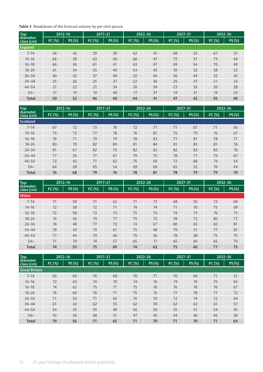Table 3 Breakdown of the forecast volume by per cent spruce.

| Top<br>diameter |        | 2012-16 | 2017-21 |       |        | 2022-26 | $2027 - 31$ |        |        | 2032-36 |
|-----------------|--------|---------|---------|-------|--------|---------|-------------|--------|--------|---------|
| class (cm)      | FC (%) | PS (%)  | FC (%)  | PS(%) | FC (%) | PS (%)  | FC (%)      | PS (%) | FC (%) | PS(%)   |
| England         |        |         |         |       |        |         |             |        |        |         |
| $7 - 14$        | 56     | 42      | 59      | 39    | 62     | 41      | 68          | 33     | 67     | 31      |
| $14 - 16$       | 66     | 38      | 63      | 40    | 66     | 47      | 72          | 51     | 73     | 44      |
| $16 - 18$       | 66     | 36      | 61      | 41    | 63     | 47      | 69          | 54     | 70     | 49      |
| $18 - 24$       | 61     | 34      | 55      | 40    | 54     | 45      | 59          | 52     | 58     | 52      |
| $24 - 34$       | 40     | 32      | 37      | 40    | 32     | 40      | 36          | 44     | 32     | 43      |
| $34 - 44$       | 25     | 26      | 25      | 37    | 22     | 36      | 25          | 37     | 21     | 33      |
| $44 - 54$       | 21     | 22      | 21      | 34    | 20     | 34      | 23          | 33     | 20     | 28      |
| $54+$           | 17     | 19      | 19      | 48    | 17     | 37      | 19          | 31     | 19     | 23      |
| <b>Total</b>    | 50     | 32      | 46      | 40    | 44     | 41      | 47          | 42     | 45     | 40      |

| <b>Top</b>             |        | 2012-16 | 2017-21 |       |        | 2022-26 | 2027-31 |       |        | 2032-36 |
|------------------------|--------|---------|---------|-------|--------|---------|---------|-------|--------|---------|
| diameter<br>class (cm) | FC (%) | PS (%)  | FC (%)  | PS(%) | FC (%) | PS (%)  | FC (%)  | PS(%) | FC (%) | PS (%)  |
| Scotland               |        |         |         |       |        |         |         |       |        |         |
| $7 - 14$               | 67     | 72      | 73      | 76    | 72     | 77      | 71      | 67    | 71     | 56      |
| $14 - 16$              | 73     | 72      | 77      | 78    | 76     | 81      | 75      | 79    | 76     | 67      |
| $16 - 18$              | 76     | 71      | 79      | 79    | 78     | 83      | 77      | 81    | 78     | 71      |
| $18 - 24$              | 80     | 70      | 82      | 80    | 81     | 84      | 81      | 83    | 81     | 76      |
| $24 - 34$              | 81     | 67      | 82      | 75    | 82     | 82      | 82      | 83    | 83     | 76      |
| $34 - 44$              | 77     | 55      | 77      | 67    | 79     | 75      | 78      | 77    | 79     | 67      |
| $44 - 54$              | 72     | 45      | 71      | 62    | 75     | 69      | 72      | 68    | 74     | 54      |
| $54+$                  | 64     | 28      | 65      | 54    | 69     | 68      | 65      | 52    | 70     | 44      |
| <b>Total</b>           | 76     | 68      | 79      | 76    | 78     | 81      | 78      | 79    | 79     | 70      |

| Top<br>diameter |        | 2012-16 | 2017-21 |        | 2022-26 |        | 2027-31 |        | 2032-36 |       |
|-----------------|--------|---------|---------|--------|---------|--------|---------|--------|---------|-------|
| class (cm)      | FC (%) | PS (%)  | FC(%)   | PS (%) | FC (%)  | PS (%) | FC (%)  | PS (%) | FC (%)  | PS(%) |
| <b>Wales</b>    |        |         |         |        |         |        |         |        |         |       |
| $7 - 14$        | 71     | 58      | 71      | 62     | 71      | 72     | 68      | 55     | 72      | 60    |
| $14 - 16$       | 72     | 58      | 72      | 71     | 74      | 74     | 71      | 70     | 75      | 69    |
| $16 - 18$       | 72     | 58      | 73      | 73     | 75      | 75     | 74      | 73     | 76      | 73    |
| $18 - 24$       | 74     | 56      | 74      | 77     | 75      | 75     | 78      | 72     | 80      | 77    |
| $24 - 34$       | 76     | 48      | 77      | 72     | 74      | 67     | 80      | 65     | 82      | 81    |
| $34 - 44$       | 78     | 43      | 79      | 61     | 75      | 48     | 79      | 51     | 77      | 81    |
| $44 - 54$       | 77     | 44      | 79      | 46     | 75      | 36     | 78      | 38     | 75      | 75    |
| $54+$           | 71     | 70      | 74      | 57     | 65      | 17     | 65      | 40     | 65      | 70    |
| <b>Total</b>    | 74     | 53      | 75      | 69     | 74      | 62     | 75      | 60     | 77      | 75    |

| <b>Top</b>             |        | 2012-16 | 2017-21 |        | 2022-26 |        | 2027-31 |        |        | 2032-36 |
|------------------------|--------|---------|---------|--------|---------|--------|---------|--------|--------|---------|
| diameter<br>class (cm) | FC (%) | PS (%)  | FC (%)  | PS (%) | FC (%)  | PS (%) | FC (%)  | PS (%) | FC (%) | PS(%)   |
| <b>Great Britain</b>   |        |         |         |        |         |        |         |        |        |         |
| $7 - 14$               | 65     | 64      | 70      | 68     | 70      | 71     | 70      | 60     | 71     | 51      |
| $14 - 16$              | 72     | 63      | 74      | 70     | 74      | 76     | 74      | 74     | 75     | 63      |
| $16 - 18$              | 74     | 62      | 75      | 71     | 75      | 76     | 76      | 76     | 76     | 67      |
| $18 - 24$              | 76     | 60      | 76      | 71     | 75      | 76     | 77      | 78     | 77     | 72      |
| $24 - 34$              | 71     | 53      | 71      | 65     | 70      | 70     | 72      | 74     | 72     | 69      |
| $34 - 44$              | 61     | 42      | 62      | 55     | 62      | 59     | 62      | 62     | 61     | 57      |
| $44 - 54$              | 54     | 35      | 55      | 48     | 56      | 50     | 55      | 51     | 54     | 45      |
| $54+$                  | 43     | 36      | 48      | 51     | 47      | 45     | 44      | 40     | 46     | 36      |
| <b>Total</b>           | 70     | 56      | 71      | 65     | 71      | 70     | 71      | 70     | 71     | 64      |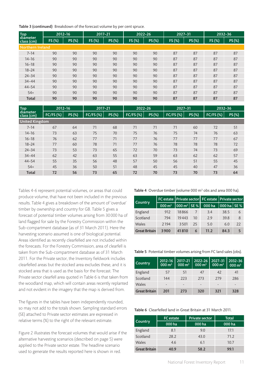Table 3 (continued) Breakdown of the forecast volume by per cent spruce.

| Top<br>diameter  |        | 2012-16 | 2017-21 |       | 2022-26 |        | 2027-31 |        | 2032-36 |       |
|------------------|--------|---------|---------|-------|---------|--------|---------|--------|---------|-------|
| class (cm)       | FS (%) | PS (%)  | FS (%)  | PS(%) | FS (%)  | PS (%) | FS (%)  | PS (%) | FS (%)  | PS(%) |
| Northern Ireland |        |         |         |       |         |        |         |        |         |       |
| $7 - 14$         | 90     | 90      | 90      | 90    | 90      | 90     | 87      | 87     | 87      | 87    |
| $14 - 16$        | 90     | 90      | 90      | 90    | 90      | 90     | 87      | 87     | 87      | 87    |
| $16 - 18$        | 90     | 90      | 90      | 90    | 90      | 90     | 87      | 87     | 87      | 87    |
| $18 - 24$        | 90     | 90      | 90      | 90    | 90      | 90     | 87      | 87     | 87      | 87    |
| $24 - 34$        | 90     | 90      | 90      | 90    | 90      | 90     | 87      | 87     | 87      | 87    |
| $34 - 44$        | 90     | 90      | 90      | 90    | 90      | 90     | 87      | 87     | 87      | 87    |
| $44 - 54$        | 90     | 90      | 90      | 90    | 90      | 90     | 87      | 87     | 87      | 87    |
| $54+$            | 90     | 90      | 90      | 90    | 90      | 90     | 87      | 87     | 87      | 87    |
| <b>Total</b>     | 90     | 90      | 90      | 90    | 90      | 90     | 87      | 87     | 87      | 87    |

| Top<br>diameter       | 2012-16     |        | 2017-21          |       | 2022-26          |        | 2027-31     |        | 2032-36          |        |
|-----------------------|-------------|--------|------------------|-------|------------------|--------|-------------|--------|------------------|--------|
| class (cm)            | $FC/FS$ (%) | PS (%) | <b>FC/FS (%)</b> | PS(%) | <b>FC/FS (%)</b> | PS (%) | $FC/FS$ (%) | PS (%) | <b>FC/FS (%)</b> | PS (%) |
| <b>United Kingdom</b> |             |        |                  |       |                  |        |             |        |                  |        |
| $7 - 14$              | 67          | 64     | 71               | 68    | 71               | 71     | 71          | 60     | 72               | 51     |
| $14 - 16$             | 73          | 63     | 75               | 70    | 75               | 76     | 75          | 74     | 76               | 63     |
| $16 - 18$             | 76          | 62     | 77               | 71    | 77               | 76     | 77          | 77     | 77               | 67     |
| $18 - 24$             | 77          | 60     | 78               | 71    | 77               | 76     | 78          | 78     | 78               | 72     |
| $24 - 34$             | 73          | 53     | 73               | 65    | 72               | 70     | 73          | 74     | 73               | 69     |
| $34 - 44$             | 62          | 42     | 63               | 55    | 63               | 59     | 63          | 62     | 62               | 57     |
| $44 - 54$             | 55          | 35     | 56               | 48    | 57               | 50     | 56          | 51     | 55               | 45     |
| $54+$                 | 45          | 36     | 50               | 51    | 48               | 45     | 45          | 40     | 47               | 36     |
| <b>Total</b>          | 72          | 56     | 73               | 65    | 72               | 70     | 73          | 70     | 73               | 64     |

Tables 4-6 represent potential volumes, or areas that could produce volume, that have not been included in the previous results. Table 4 gives a breakdown of the amount of 'overdue' timber by ownership and country for GB. Table 5 gives a forecast of potential timber volumes arising from 30000 ha of land flagged for sale by the Forestry Commission within the Sub-compartment database (as of 31 March 2011). Here the harvesting scenario assumed is one of biological potential. Areas identified as recently clearfelled are not included within the forecasts. For the Forestry Commission, area of clearfell is taken from the Sub-compartment database as of 31 March 2011. For the Private sector, the Inventory fieldwork includes clearfelled areas but the stocked area excludes these, and it is stocked area that is used as the basis for the forecast. The Private sector clearfell area quoted in Table 6 is that taken from the woodland map, which will contain areas recently replanted and not evident in the imagery that the map is derived from.

The figures in the tables have been independently rounded, so may not add to the totals shown. Sampling standard errors (SE) attached to Private sector estimates are expressed in relative terms (%) to the right of the relevant estimate.

Figure 2 illustrates the forecast volumes that would arise if the alternative harvesting scenarios (described on page 5) were applied to the Private sector estate. The headline scenario used to generate the results reported here is shown in red.

**Table 4** Overdue timber (volume 000  $m<sup>3</sup>$  obs and area 000 ha).

| Country              |                      | FC estate   Private sector   FC estate   Private sector |    |        |               |    |
|----------------------|----------------------|---------------------------------------------------------|----|--------|---------------|----|
|                      | $000 \,\mathrm{m}^3$ | $\vert$ 000 m <sup>3</sup> $\vert$ SE % $\vert$         |    | 000 ha | 000 ha   SE % |    |
| England              | 912                  | 18866                                                   |    | 3.4    | 38.5          | 6  |
| Scotland             | 794                  | 19443                                                   | 10 | 29     | 39.8          | 8  |
| Wales                | 2194                 | 3501                                                    | 25 | 5.0    | 6.0           | 22 |
| <b>Great Britain</b> | 3900                 | 41810                                                   | 6  | 11.2   | 84.3          | 5  |

Table 5 Potential timber volumes arising from FC land sales (obs).

| Country              | 2012-16<br>$000 \text{ m}^3$ | 2017-21<br>$1000 \text{ m}^3$ | $2022 - 26$<br>000 m <sup>3</sup> | 2027-31<br>$000 \text{ m}^3$ | 2032-36<br>$000 \text{ m}^3$ |
|----------------------|------------------------------|-------------------------------|-----------------------------------|------------------------------|------------------------------|
| England              | 57                           | 51                            | 47                                | 42                           | 41                           |
| Scotland             | 144                          | 223                           | 273                               | 279                          | 286                          |
| Wales                | -                            |                               |                                   |                              |                              |
| <b>Great Britain</b> | 201                          | 273                           | 320                               | 321                          | 328                          |

#### Table 6 Clearfelled land in Great Britain at 31 March 2011.

|                      | <b>FC</b> estate | <b>Private sector</b> | <b>Total</b> |  |
|----------------------|------------------|-----------------------|--------------|--|
| Country              | 000 ha           | 000 ha                | 000 ha       |  |
| England              | 8.1              | 9.0                   | 17.1         |  |
| Scotland             | 28.2             | 43.0                  | 71.2         |  |
| Wales                | 4.6              | 6.1                   | 10.7         |  |
| <b>Great Britain</b> | 40.9             | 58.2                  | 99.1         |  |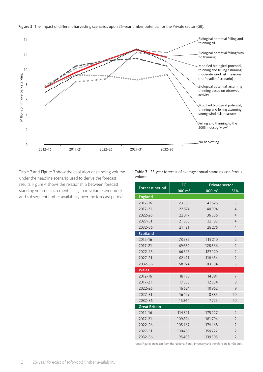

Table 7 and Figure 3 show the evolution of standing volume under the headline scenario used to derive the forecast results. Figure 4 shows the relationship between forecast standing volume, increment (i.e. gain in volume over time) and subsequent timber availability over the forecast period.

Table 7 25-year forecast of average annual standing coniferous volume.

|                      | <b>FC</b>           | <b>Private sector</b> |                |  |
|----------------------|---------------------|-----------------------|----------------|--|
| Forecast period      | $000 \, \text{m}^3$ | $000 \, \text{m}^3$   | SE%            |  |
| <b>England</b>       |                     |                       |                |  |
| 2012-16              | 23389               | 41626                 | 3              |  |
| 2017-21              | 22874               | 40094                 | $\overline{4}$ |  |
| 2022-26              | 22317               | 36386                 | $\overline{4}$ |  |
| 2027-31              | 21 6 33             | 32183                 | $\overline{4}$ |  |
| 2032-36              | 21 1 21             | 28276                 | $\overline{4}$ |  |
| <b>Scotland</b>      |                     |                       |                |  |
| 2012-16              | 73237               | 119210                | $\overline{2}$ |  |
| 2017-21              | 69682               | 128866                | $\overline{2}$ |  |
| $2022 - 26$          | 66526               | 127120                | $\overline{2}$ |  |
| 2027-31              | 62421               | 118654                | $\overline{2}$ |  |
| 2032-36              | 58924               | 103304                | 3              |  |
| <b>Wales</b>         |                     |                       |                |  |
| 2012-16              | 18195               | 14391                 | $\overline{7}$ |  |
| 2017-21              | 17338               | 12834                 | 8              |  |
| 2022-26              | 16624               | 10962                 | 9              |  |
| 2027-31              | 16429               | 8885                  | 10             |  |
| 2032-36              | 15364               | 7725                  | 10             |  |
| <b>Great Britain</b> |                     |                       |                |  |
| 2012-16              | 114821              | 175227                | $\overline{2}$ |  |
| 2017-21              | 109894              | 181794                | $\overline{2}$ |  |
| 2022-26              | 105467              | 174468                | $\overline{2}$ |  |
| 2027-31              | 100483              | 159722                | $\overline{2}$ |  |
| 2032-36              | 95408               | 139305                | $\overline{2}$ |  |

Note: Figures are taken from the National Forest Inventory and therefore are for GB only.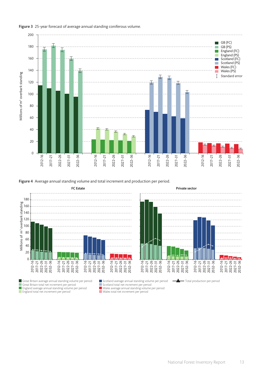

Figure 3 25-year forecast of average annual standing coniferous volume.

**Figure 4** Average annual standing volume and total increment and production per period.



Great Britain average annual standing volume per period Great Britain total net increment per period England average annual standing volume per period England total net increment per period



Total production per period

Wales total net increment per period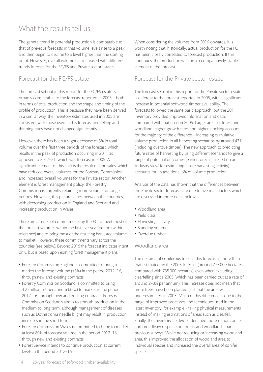# What the results tell us

The general trend in potential production is comparable to that of previous forecasts in that volume levels rise to a peak and then begin to decline to a level higher than the starting point. However, overall volume has increased with different trends forecast for the FC/FS and Private sector estates.

## Forecast for the FC/FS estate

The forecast set out in this report for the FC/FS estate is broadly comparable to the forecast reported in 2005 – both in terms of total production and the shape and timing of the profile of production. This is because they have been derived in a similar way; the inventory estimates used in 2005 are consistent with those used in this forecast and felling and thinning rates have not changed significantly.

However, there has been a slight decrease of 5% in total volume over the first three periods of the forecast, which results in the peak of production occurring in 2011 as opposed to 2017–21, which was forecast in 2005. A significant element of this shift is the result of land sales, which have reduced overall volumes for the Forestry Commission and increased overall volumes for the Private sector. Another element is forest management policy; the Forestry Commission is currently retaining more volume for longer periods. However, this picture varies between the countries, with decreasing production in England and Scotland and increasing production in Wales.

There are a series of commitments by the FC to meet most of the forecast volumes within the first five-year period (within a tolerance) and to bring most of the resulting harvested volume to market. However, these commitments vary across the countries (see below). Beyond 2016 the forecast indicates intent only, but is based upon existing forest management plans.

- Forestry Commission England is committed to bring to market the forecast volume (±5%) in the period 2012–16, through new and existing contracts.
- Forestry Commission Scotland is committed to bring 3.2 million  $m^3$  per annum ( $\pm$ 5%) to market in the period 2012–16, through new and existing contracts. Forestry Commission Scotland's aim is to smooth production in the medium to long term, although management of diseases such as Dothistroma needle blight may result in production increases in the short term.
- Forestry Commission Wales is committed to bring to market at least 80% of forecast volume in the period 2012–16, through new and existing contracts.
- Forest Service intends to continue production at current levels in the period 2012–16.

When considering the volumes from 2016 onwards, it is worth noting that, historically, actual production for the FC has been closely correlated to forecast production. If this continues, the production will form a comparatively 'stable' element of the forecast.

### Forecast for the Private sector estate

The forecast set out in this report for the Private sector estate is different to the forecast reported in 2005, with a significant increase in potential softwood timber availability. The forecasts followed the same basic approach, but the 2011 Inventory provided improved information and data, compared with that used in 2005. Larger areas of forest and woodland, higher growth rates and higher stocking account for the majority of the difference – increasing cumulative volume production in all harvesting scenarios by around 43% (including overdue timber). The new approach to predicting future rates of harvesting by using different scenarios to give a range of potential outcomes (earlier forecasts relied on an 'industry view' for estimating future harvesting activity) accounts for an additional 6% of volume production.

Analysis of the data has shown that the differences between the Private sector forecasts are due to five main factors which are discussed in more detail below:

- • Woodland area
- • Yield class
- Harvesting activity
- Standing volume
- Overdue timber

#### Woodland area

The net area of coniferous trees in this forecast is more than that estimated by the 2005 forecast (around 775000 hectares compared with 735000 hectares), even when excluding clearfelling since 2005 (which has been carried out at a rate of around 2–3% per annum). This increase does not mean that more trees have been planted, just that the area was underestimated in 2005. Much of this difference is due to the range of improved processes and techniques used in the latest Inventory, for example - taking physical measurements instead of making estimations of areas such as clearfell. Finally, the Inventory fieldwork identified more minor conifer and broadleaved species in forests and woodlands than previous surveys. While not reducing or increasing woodland area, this improved the allocation of woodland area to individual species and increased the overall area of conifer species.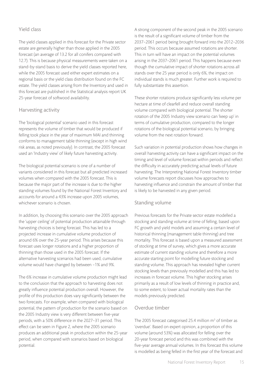#### Yield class

The yield classes applied in this forecast for the Private sector estate are generally higher than those applied in the 2005 forecast (an average of 13.2 for all conifers compared with 12.7). This is because physical measurements were taken on a stand-by-stand basis to derive the yield classes reported here, while the 2005 forecast used either expert estimates on a regional basis or the yield class distribution found on the FC estate. The yield classes arising from the Inventory and used in this forecast are published in the Statistical analysis report UK 25-year forecast of softwood availability.

#### Harvesting activity

The 'biological potential' scenario used in this forecast represents the volume of timber that would be produced if felling took place in the year of maximum MAI and thinning conforms to management table thinning (except in high wind risk areas, as noted previously). In contrast, the 2005 forecast used an 'Industry view' of likely future harvesting activity.

The biological potential scenario is one of a number of variants considered in this forecast but all predicted increased volumes when compared with the 2005 forecast. This is because the major part of the increase is due to the higher standing volumes found by the National Forest Inventory and accounts for around a 43% increase upon 2005 volumes, whichever scenario is chosen.

In addition, by choosing this scenario over the 2005 approach the 'upper ceiling' of potential production attainable through harvesting choices is being forecast. This has led to a projected increase in cumulative volume production of around 6% over the 25-year period. This arises because this forecast uses longer rotations and a higher proportion of thinning than those used in the 2005 forecast. If the alternative harvesting scenarios had been used, cumulative volume would have changed by between –1% and 9%.

The 6% increase in cumulative volume production might lead to the conclusion that the approach to harvesting does not greatly influence potential production overall. However, the profile of this production does vary significantly between the two forecasts. For example, when compared with biological potential, the pattern of production for the scenario based on the 2005 Industry view is very different between five-year periods, with a 50% difference in the 2027–31 period. This effect can be seen in Figure 2, where the 2005 scenario produces an additional peak in production within the 25-year period, when compared with scenarios based on biological potential.

A strong component of the second peak in the 2005 scenario is the result of a significant volume of timber from the 2037–2061 period being brought forward into the 2012–2036 period. This occurs because assumed rotations are shorter. This in turn will have an impact on the potential volumes arising in the 2037–2061 period. This happens because even though the cumulative impact of shorter rotations across all stands over the 25 year period is only 6%, the impact on individual stands is much greater. Further work is required to fully substantiate this assertion.

These shorter rotations produce significantly less volume per hectare at time of clearfell and reduce overall standing volume compared with biological potential. The shorter rotation of the 2005 Industry view scenario can 'keep up' in terms of cumulative production, compared to the longer rotations of the biological potential scenario, by bringing volume from the next rotation forward.

Such variation in potential production shows how changes in overall harvesting activity can have a significant impact on the timing and level of volume forecast within periods and reflect the difficulty in accurately predicting actual levels of future harvesting. The Interpreting National Forest Inventory timber volume forecasts report discusses how approaches to harvesting influence and constrain the amount of timber that is likely to be harvested in any given period.

#### Standing volume

Previous forecasts for the Private sector estate modelled a stocking and standing volume at time of felling, based upon FC growth and yield models and assuming a certain level of historical thinning (management table thinning) and tree mortality. This forecast is based upon a measured assessment of stocking at time of survey, which gives a more accurate estimate of current standing volume and therefore a more accurate starting point for modelling future stocking and standing volume. This approach has revealed higher current stocking levels than previously modelled and this has led to increases in forecast volume. This higher stocking arises primarily as a result of low levels of thinning in practice and, to some extent, to lower actual mortality rates than the models previously predicted.

#### Overdue timber

The 2005 forecast categorised 25.4 million  $m<sup>3</sup>$  of timber as 'overdue'. Based on expert opinion, a proportion of this volume (around 53%) was allocated for felling over the 20-year forecast period and this was combined with the five-year average annual volumes. In this forecast this volume is modelled as being felled in the first year of the forecast and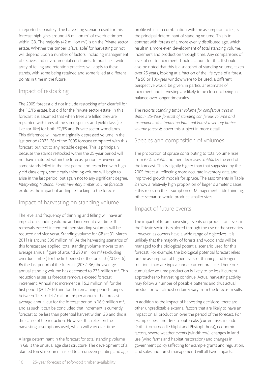is reported separately. The harvesting scenario used for this forecast highlights around 46 million  $m<sup>3</sup>$  of overdue timber within GB. The majority (42 million m<sup>3</sup>) is on the Private sector estate. Whether this timber is 'available' for harvesting or not will depend upon a number of factors, including management objectives and environmental constraints. In practice a wide array of felling and retention practices will apply to these stands, with some being retained and some felled at different points in time in the future.

## Impact of restocking

The 2005 forecast did not include restocking after clearfell for the FC/FS estate, but did for the Private sector estate. In this forecast it is assumed that when trees are felled they are replanted with trees of the same species and yield class (i.e. like-for-like) for both FC/FS and Private sector woodlands. This difference will have marginally depressed volume in the last period (2022-26) of the 2005 forecast compared with this forecast, but not to any notable degree. This is principally because the stands restocked within the 25-year period will not have matured within the forecast period. However for some stands felled in the first period and restocked with high yield class crops, some early thinning volume will begin to arise in the last period, but again not to any significant degree. *Interpreting National Forest Inventory timber volume forecasts* explores the impact of adding restocking to the forecast.

# Impact of harvesting on standing volume

The level and frequency of thinning and felling will have an impact on standing volume and increment over time. If removals exceed increment then standing volumes will be reduced and vice versa. Standing volume for GB (at 31 March 2011) is around 336 million  $m<sup>3</sup>$ . As the harvesting scenarios of this forecast are applied, total standing volume moves to an average annual figure of around 290 million  $m<sup>3</sup>$  (excluding overdue timber) for the first period of the forecast (2012–16). By the last period of the forecast (2032–36) the average annual standing volume has decreased to 235 million m<sup>3</sup>. This reduction arises as forecast removals exceed forecast increment. Annual net increment is 15.2 million  $m^3$  for the first period (2012–16) and for the remaining periods ranges between 12.5 to 14.7 million  $m<sup>3</sup>$  per annum. The forecast average annual cut for the forecast period is  $16.0$  million  $m<sup>3</sup>$ , and as such it can be concluded that increment is currently forecast to be less than potential harvest within GB and this is the cause of the reduction. However this relies on the harvesting assumptions used, which will vary over time.

A large determinant in the forecast for total standing volume in GB is the unusual age class structure. The development of a planted forest resource has led to an uneven planting and age

profile which, in combination with the assumption to fell, is the principal determinant of standing volume. This is in contrast with forests of a more evenly distributed age, which result in a more even development of total standing volume, increment and production through time. Any comparisons of level of cut to increment should account for this. It should also be noted that this is a snapshot of standing volume, taken over 25 years, looking at a fraction of the life cycle of a forest. If a 50 or 100-year window were to be used, a different perspective would be given, in particular estimates of increment and harvesting are likely to be closer to being in balance over longer timescales.

The reports *Standing timber volume for coniferous trees in Britain*, *25-Year forecast of standing coniferous volume and increment* and *Interpreting National Forest Inventory timber volume forecasts* cover this subject in more detail.

## Species and composition of volumes

The proportion of spruce contributing to total volume rises from 62% to 69%, and then decreases to 66% by the end of the forecast. This is slightly higher than that suggested by the 2005 forecast, reflecting more accurate inventory data and improved growth models for spruce. The assortments in Table 2 show a relatively high proportion of larger diameter classes – this relies on the assumption of Management table thinning; other scenarios would produce smaller sizes.

#### Impact of future events

The impact of future harvesting events on production levels in the Private sector is explored through the use of the scenarios. However, as owners have a wide range of objectives, it is unlikely that the majority of forests and woodlands will be managed to the biological potential scenario used for this forecast. For example, the biological potential forecast relies on the assumption of higher levels of thinning and longer rotations than are typical under current practice. Therefore cumulative volume production is likely to be less if current approaches to harvesting continue. Actual harvesting activity may follow a number of possible patterns and thus actual production will almost certainly vary from the forecast results.

In addition to the impact of harvesting decisions, there are other unpredictable external factors that are likely to have an impact on all production over the period of the forecast. For example, pest and disease outbreaks (current risks include Dothistroma needle blight and Phytophthora), economic factors, severe weather events (windthrow), changes in land use (wind farms and habitat restoration) and changes in government policy (affecting for example grants and regulation, land sales and forest management) will all have impacts.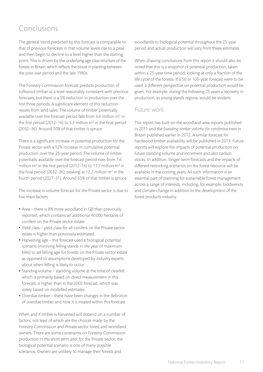# Conclusions

The general trend predicted by this forecast is comparable to that of previous forecasts in that volume levels rise to a peak and then begin to decline to a level higher than the starting point. This is driven by the underlying age class structure of the forests in Britain, which reflects the boost in planting between the post-war period and the late 1980s.

The Forestry Commission forecast predicts production of softwood timber at a level reasonably consistent with previous forecasts, but there is a 5% reduction in production over the first three periods. A significant element of this reduction results from land sales. The volume of timber potentially available over the forecast period falls from 6.6 million  $m<sup>3</sup>$  in the first period (2012-16) to 5.3 million  $m<sup>3</sup>$  in the final period (2032–36). Around 70% of that timber is spruce.

There is a significant increase in potential production for the Private sector with a 52% increase in cumulative potential production over the 25-year period. The volume of timber potentially available over the forecast period rises from 7.6 million  $m^3$  in the first period (2012–16) to 11.7 million  $m^3$  in the final period (2032-36), peaking at 12.7 million  $m<sup>3</sup>$  in the fourth period (2027–31). Around 65% of that timber is spruce.

The increase in volume forecast for the Private sector is due to five main factors:

- Area there is 8% more woodland in GB than previously reported, which contains an additional 40000 hectares of conifers on the Private sector estate.
- • Yield class yield class for all conifers on the Private sector estate is higher than previously estimated.
- Harvesting age this forecast used a biological potential scenario (involving felling stands in the year of maximum MAI) to set felling age for forests on the Private sector estate as opposed to assumptions developed by industry experts about when felling is likely to occur.
- Standing volume standing volume at the time of clearfell, which is primarily based on direct measurement in this forecast, is higher than in the 2005 forecast, which was solely based on modelled estimates.
- Overdue timber there have been changes in the definition of overdue timber and how it is treated within this forecast.

When and if timber is harvested will depend on a number of factors, not least of which are the choices made by the Forestry Commission and Private sector forest and woodland owners. There are some constraints on Forestry Commission production in the short term and, for the Private sector, the biological potential scenario is one of many possible scenarios. Owners are unlikely to manage their forests and

woodlands to biological potential throughout the 25-year period and actual production will vary from these estimates.

When drawing conclusions from this report it should also be noted that this is a snapshot of potential production, taken within a 25-year time period, looking at only a fraction of the life cycle of the forests. If a 50 or 100-year forecast were to be used, a different perspective on potential production would be given. For example, during the following 25 years a recovery in production, as young stands regrow, would be evident.

## Future work

This report has built on the woodland area reports published in 2011 and the *Standing timber volume for coniferous trees in Britain* published earlier in 2012. A similar forecast for hardwood timber availability will be published in 2013. Future reports will explore the impacts of potential production on future standing volume and increment and also carbon stocks. In addition, longer-term forecasts and the impacts of different restocking scenarios on the forest resource will be available in the coming years. All such information is an essential part of planning for sustainable forest management across a range of interests, including, for example, biodiversity and climate change in addition to the development of the forest products industry.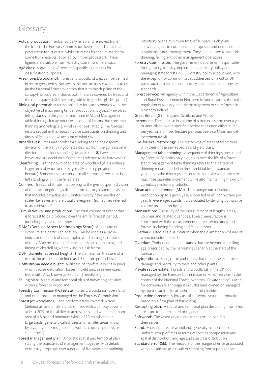# Glossary

- Actual production: Timber actually felled and removed from the forest. The Forestry Commission keeps records of actual production for its estate, while estimates for the Private sector come from receipts reported by timber processors. These figures are available from Forestry Commission Statistics.
- Age class: A grouping of trees into specific age ranges for classification purposes.
- Area (forest/woodland): Forest and woodland area can be defined in net or gross terms. Net area is the land actually covered by trees (in the National Forest Inventory that is to the drip line of the canopy). Gross area includes both the area covered by trees and the open spaces (<0.5 hectares) within (e.g. rides, glades, ponds).
- Biological potential: A term applied to forecast scenarios with the objective of maximising timber production. It typically involves felling stands in the year of maximum MAI and Management table thinning. It may not take account of factors that constrain thinning and felling (e.g. wind risk or pest attack). The forecast results set out in this report involve constraints on thinning and times of felling to take account of wind risk.
- Broadleaves: Trees and shrubs that belong to the angiosperm division of the plant kingdom (as distinct from the gymnosperm division that includes conifers). Most in the UK have laminar leaves and are deciduous. Sometimes referred to as 'hardwoods'.
- Clearfelling: Cutting down of an area of woodland (if it is within a larger area of woodland it is typically a felling greater than 0.25 hectare). Sometimes a scatter or small clumps of trees may be left standing within the felled area.
- Conifers: Trees and shrubs that belong to the gymnosperm division of the plant kingdom (as distinct from the angiosperm division that includes broadleaves). Conifers mostly have needles or scale-like leaves and are usually evergreen. Sometimes referred to as 'softwoods'.
- Cumulative volume production: The total volume of timber that is forecast to be produced over the entire forecast period, including any overdue timber.
- DAMS (Detailed Aspect Methodology Score): A measure of exposure at a particular location. Can be used as a proxy indicator of the risk of catastrophic wind damage to a stand of trees. May be used to influence decisions on thinning and timing of clearfelling where wind is a risk factor.
- DBH (diameter at breast height): The diameter on the stem of a tree at 'breast height', defined as 1.3 m from ground level.
- Dothistroma needle blight: A disease of conifers (especially pine) which causes defoliation, losses in yield and, in severe cases, tree death. Also known as Red band needle blight.
- Felling plan: A spatial and temporal plan of harvesting activities within a forest or woodland.
- Forestry Commission (FC) estate: Forests, woodlands, open land and other property managed by the Forestry Commission.
- Forest (or woodland): Land predominately covered in trees (defined as land under stands of trees with a canopy cover of at least 20%, or the ability to achieve this, and with a minimum area of 0.5 ha and minimum width of 20 m), whether in large tracts (generally called forests) or smaller areas known by a variety of terms (including woods, copses, spinneys or shelterbelts).
- Forest management plan: A holistic spatial and temporal plan stating the objectives of management together with details of forestry proposals over a period of five years and outlining

intentions over a minimum total of 10 years. Such plans allow managers to communicate proposals and demonstrate sustainable forest management. They can be used to authorise thinning, felling and other management operations.

- Forestry Commission: The government department responsible for regulating forestry, implementing forestry policy and managing state forests in GB. Forestry policy is devolved, with the exception of common issues addressed on a GB or UK basis, such as international forestry, plant health and forestry standards.
- Forest Service: An agency within the Department of Agriculture and Rural Development in Northern Ireland responsible for the regulation of forestry and the management of state forests in Northern Ireland.

Great Britain (GB): England, Scotland and Wales.

- Increment: The increase in volume of a tree or a stand over a year or annualised over a specified period measured either in m<sup>3</sup> per year or in m<sup>3</sup> per hectare per year. See also Mean annual increment (MAI).
- Like-for-like (restocking): The restocking of areas of felled trees with trees of the same species and yield class.
- Management table thinning: A sequence of thinnings prescribed by Forestry Commission yield tables over the life of a forest stand. Management table thinning refers to the pattern of thinning recommended in these yield tables. In standard yield tables the thinnings are set to an intensity which aims to maximise diameter increment while also maintaining maximum cumulative volume production.
- Mean annual increment (MAI): The average rate of volume production up to a given year, expressed in m<sup>3</sup> per hectare per year. In even-aged stands it is calculated by dividing cumulative volume production by age.
- Mensuration: The study of the measurement of lengths, areas, volumes and related quantities. Forest mensuration is concerned with the measurement of trees, woodlands and forests, including standing and felled timber.
- Overbark: Used as a qualification when the diameter or volume of wood includes the bark.
- Overdue: Timber contained in stands that are beyond the felling age prescribed by the harvesting scenario at the start of the forecast.
- Phytophthora: Fungus-like pathogens that can cause extensive damage and mortality to trees and other plants.
- Private sector estate: Forests and woodlands in the UK not managed by the Forestry Commission or Forest Service. In the context of the National Forest Inventory, 'Private sector' is used for convenience although it includes land owned or managed by bodies such as local authorities and charities.
- Production forecast: A forecast of softwood volume production based on a firm plan of harvesting.
- Restocking plan: A spatial and temporal plan describing how felled areas are to be replanted or regenerated.
- Softwood: The wood of coniferous trees or the conifers themselves.
- Stand: A distinct area of woodland, generally composed of a uniform group of trees in terms of species composition and spatial distribution, and age and size class distribution.
- Standard error (SE): The measure of the margin of error associated with an estimate as a result of sampling from a population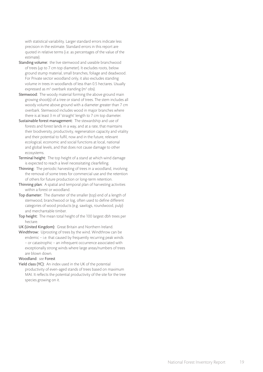with statistical variability. Larger standard errors indicate less precision in the estimate. Standard errors in this report are quoted in relative terms (i.e. as percentages of the value of the estimate).

- Standing volume: the live stemwood and useable branchwood of trees (up to 7 cm top diameter). It excludes roots, below ground stump material, small branches, foliage and deadwood. For Private sector woodland only, it also excludes standing volume in trees in woodlands of less than 0.5 hectares. Usually expressed as m<sup>3</sup> overbark standing (m<sup>3</sup> obs).
- Stemwood: The woody material forming the above ground main growing shoot(s) of a tree or stand of trees. The stem includes all woody volume above ground with a diameter greater than 7 cm overbark. Stemwood includes wood in major branches where there is at least 3 m of 'straight' length to 7 cm top diameter.
- Sustainable forest management: The stewardship and use of forests and forest lands in a way, and at a rate, that maintains their biodiversity, productivity, regeneration capacity and vitality and their potential to fulfil, now and in the future, relevant ecological, economic and social functions at local, national and global levels, and that does not cause damage to other ecosystems.
- Terminal height: The top height of a stand at which wind damage is expected to reach a level necessitating clearfelling.
- Thinning: The periodic harvesting of trees in a woodland, involving the removal of some trees for commercial use and the retention of others for future production or long-term retention.
- Thinning plan: A spatial and temporal plan of harvesting activities within a forest or woodland.
- Top diameter: The diameter of the smaller (top) end of a length of stemwood, branchwood or log, often used to define different categories of wood products (e.g. sawlogs, roundwood, pulp) and merchantable timber.
- Top height: The mean total height of the 100 largest dbh trees per hectare.
- UK (United Kingdom): Great Britain and Northern Ireland.
- Windthrow: Uprooting of trees by the wind. Windthrow can be endemic – i.e. that caused by frequently recurring peak winds – or catastrophic – an infrequent occurrence associated with exceptionally strong winds where large areas/numbers of trees are blown down.

#### Woodland: *see* Forest

Yield class (YC): An index used in the UK of the potential productivity of even-aged stands of trees based on maximum MAI. It reflects the potential productivity of the site for the tree species growing on it.